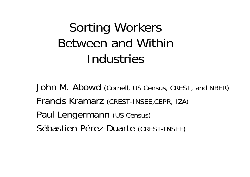# Sorting Workers Between and Within Industries

John M. Abowd (Cornell, US Census, CREST, and NBER) Francis Kramarz (CREST-INSEE,CEPR, IZA) Paul Lengermann (US Census) Sébastien Pérez-Duarte (CREST-INSEE)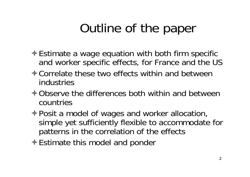# Outline of the paper

- Estimate a wage equation with both firm specific and worker specific effects, for France and the US
- **↑ Correlate these two effects within and between** industries
- **↑ Observe the differences both within and between** countries
- Posit a model of wages and worker allocation, simple yet sufficiently flexible to accommodate for patterns in the correlation of the effects
- **Estimate this model and ponder**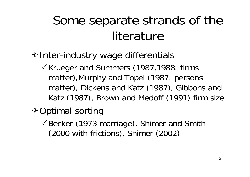# Some separate strands of the literature

#### **→ Inter-industry wage differentials**

-Krueger and Summers (1987,1988: firms matter),Murphy and Topel (1987: persons matter), Dickens and Katz (1987), Gibbons and Katz (1987), Brown and Medoff (1991) firm size

**Notable 3 ÷ Optimal sorting** 

-Becker (1973 marriage), Shimer and Smith (2000 with frictions), Shimer (2002)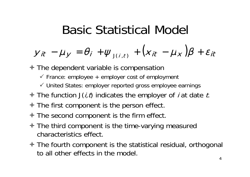## Basic Statistical Model

$$
y_{it} - \mu_y = \theta_i + \psi_{J(i,t)} + (x_{it} - \mu_x)\beta + \varepsilon_{it}
$$

The dependent variable is compensation

- $\checkmark$  France: employee + employer cost of employment
- United States: employer reported gross employee earnings
- $\triangle$  The function  $J(i, t)$  indicates the employer of *i* at date *t*.
- $\triangle$  The first component is the person effect.
- $\triangle$  The second component is the firm effect.
- The third component is the time-varying measured characteristics effect.
- ◆ The fourth component is the statistical residual, orthogonal to all other effects in the model.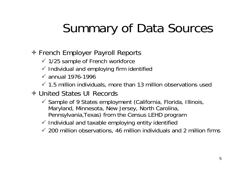# Summary of Data Sources

#### **♦ French Employer Payroll Reports**

- $\checkmark$  1/25 sample of French workforce
- $\checkmark$  Individual and employing firm identified
- $\checkmark$  annual 1976-1996
- $\checkmark$  1.5 million individuals, more than 13 million observations used
- United States UI Records
	- $\checkmark$  Sample of 9 States employment (California, Florida, Illinois, Maryland, Minnesota, New Jersey, North Carolina, Pennsylvania,Texas) from the Census LEHD program
	- $\checkmark$  Individual and taxable employing entity identified
	- $\checkmark$  200 million observations, 46 million individuals and 2 million firms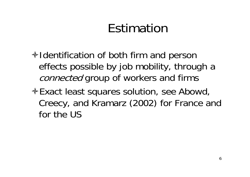# Estimation

- $\triangleleft$  Identification of both firm and person effects possible by job mobility, through a connected group of workers and firms
- Exact least squares solution, see Abowd, Creecy, and Kramarz (2002) for France and for the US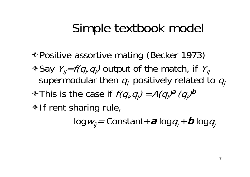## Simple textbook model

**Example 4 Positive assortive mating (Becker 1973)**  $\textstyle\bigstar$  Say  $\textstyle\bigvee_{j}=f(q_{i},q_{j})$  output of the match, if  $\textstyle\bigvee_{j=1}^K\bigvee_{j=1}^K\{q_{i+1},q_{i+1},q_{i+1}\}\big)$ supermodular then  $q_i$  positively related to  $q_j$  $\triangleleft$  This is the case if  $f(q_i, q_j) = A(q_i)^a (q_j)^b$  $\triangle$  If rent sharing rule,

log*w<sub>ij</sub>=* Constant+*a* log*q<sub>i</sub>* + *b* log*q<sub>j</sub>*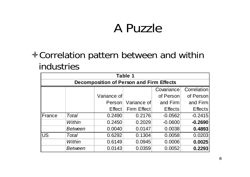## A Puzzle

#### Correlation pattern between and within industries

| Table 1   |                                                 |                     |             |                |                    |  |  |  |  |
|-----------|-------------------------------------------------|---------------------|-------------|----------------|--------------------|--|--|--|--|
|           | <b>Decomposition of Person and Firm Effects</b> |                     |             |                |                    |  |  |  |  |
|           |                                                 |                     |             | Covariance     | <b>Correlation</b> |  |  |  |  |
|           |                                                 | Variance of         |             | of Person      | of Person          |  |  |  |  |
|           |                                                 | Person              | Variance of | and Firm       | and Firm           |  |  |  |  |
|           |                                                 | Effect <sup>1</sup> | Firm Effect | <b>Effects</b> | <b>Effects</b>     |  |  |  |  |
| France    | <b>Total</b>                                    | 0.2490              | 0.2176      | $-0.0562$      | $-0.2415$          |  |  |  |  |
|           | <b>Within</b>                                   | 0.2450              | 0.2029      | $-0.0600$      | $-0.2690$          |  |  |  |  |
|           | <b>Between</b>                                  | 0.0040              | 0.0147      | 0.0038         | 0.4893             |  |  |  |  |
| <b>US</b> | Total                                           | 0.6292              | 0.1304      | 0.0058         | 0.0203             |  |  |  |  |
|           | Within                                          | 0.6149              | 0.0945      | 0.0006         | 0.0025             |  |  |  |  |
|           | <b>Between</b>                                  | 0.0143              | 0.0359      | 0.0052         | 0.2293             |  |  |  |  |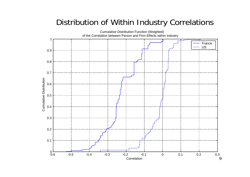#### Distribution of Within Industry Correlations

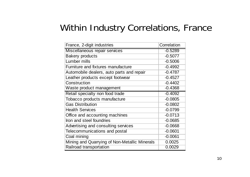#### Within Industry Correlations, France

| France, 2-digit industries                    | Correlation |
|-----------------------------------------------|-------------|
| Miscellaneous repair services                 | $-0.5289$   |
| <b>Bakery products</b>                        | $-0.5077$   |
| Lumber mills                                  | $-0.5006$   |
| Furniture and fixtures manufacture            | $-0.4992$   |
| Automobile dealers, auto parts and repair     | $-0.4787$   |
| Leather products except footwear              | $-0.4527$   |
| Construction                                  | $-0.4402$   |
| Waste product management                      | $-0.4368$   |
| Retail specialty non food trade               | $-0.4092$   |
| Tobacco products manufacture                  | $-0.0805$   |
| <b>Gas Distribution</b>                       | $-0.0802$   |
| <b>Health Services</b>                        | $-0.0799$   |
| Office and accounting machines                | $-0.0713$   |
| Iron and steel foundries                      | $-0.0685$   |
| Advertising and consulting services           | $-0.0668$   |
| Telecommunications and postal                 | $-0.0601$   |
| Coal mining                                   | $-0.0061$   |
| Mining and Quarrying of Non-Metallic Minerals | 0.0025      |
| Railroad transportation                       | 0.0029      |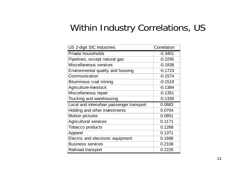#### Within Industry Correlations, US

| US 2-digit SIC Industries                | Correlation |
|------------------------------------------|-------------|
| Private households                       | $-0.3401$   |
| Pipelines, except natural gas            | $-0.2295$   |
| Miscellaneous services                   | $-0.1838$   |
| Environmental quality and housing        | $-0.1723$   |
| Communication                            | $-0.1574$   |
| Bituminous coal mining                   | $-0.1519$   |
| Agriculture-livestock                    | $-0.1384$   |
| Miscellaneous repair                     | $-0.1351$   |
| Trucking and warehousing                 | $-0.1339$   |
| Local and interurban passenger transport | 0.0683      |
| Holding and other investments            | 0.0704      |
| <b>Motion pictures</b>                   | 0.0851      |
| <b>Agricultural services</b>             | 0.1171      |
| <b>Tobacco products</b>                  | 0.1268      |
| Apparel                                  | 0.1371      |
| Electric and electronic equipment        | 0.1698      |
| <b>Business services</b>                 | 0.2108      |
| Railroad transport                       | 0.2226      |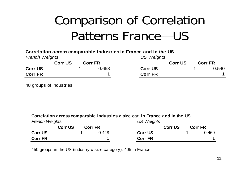# Comparison of Correlation Patterns France—US

|                       |                |                | Correlation across comparable industries in France and in the US |                |                |
|-----------------------|----------------|----------------|------------------------------------------------------------------|----------------|----------------|
| <b>French Weights</b> |                |                | US Weights                                                       |                |                |
|                       | <b>Corr US</b> | <b>Corr FR</b> |                                                                  | <b>Corr US</b> | <b>Corr FR</b> |
| <b>Corr US</b>        |                | 0.658          | <b>Corr US</b>                                                   |                | 0.540          |
| <b>Corr FR</b>        |                |                | <b>Corr FR</b>                                                   |                |                |

48 groups of industries

#### **Correlation across comparable industries x size cat. in France and in the US**

| <b>French Weights</b> |                |                | US Weights     |  |                |  |  |
|-----------------------|----------------|----------------|----------------|--|----------------|--|--|
|                       | <b>Corr US</b> | <b>Corr FR</b> | <b>Corr US</b> |  | <b>Corr FR</b> |  |  |
| <b>Corr US</b>        |                | 0.448          | <b>Corr US</b> |  | 0.469          |  |  |
| <b>Corr FR</b>        |                |                | <b>Corr FR</b> |  |                |  |  |

450 groups in the US (industry x size category), 405 in France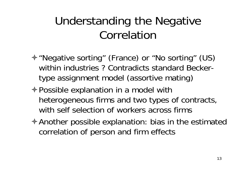#### Understanding the Negative Correlation

- "Negative sorting" (France) or "No sorting" (US) within industries ? Contradicts standard Beckertype assignment model (assortive mating)
- Possible explanation in a model with heterogeneous firms and two types of contracts, with self selection of workers across firms
- Another possible explanation: bias in the estimated correlation of person and firm effects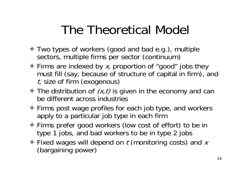# The Theoretical Model

- Two types of workers (good and bad e.g.), multiple sectors, multiple firms per sector (continuum)
- $\triangle$  Firms are indexed by x, proportion of "good" jobs they must fill (say, because of structure of capital in firm), and t, size of firm (exogenous)
- $\triangle$  The distribution of  $(x, t)$  is given in the economy and can be different across industries
- Firms post wage profiles for each job type, and workers apply to a particular job type in each firm
- Firms prefer good workers (low cost of effort) to be in type 1 jobs, and bad workers to be in type 2 jobs
- $\triangle$  Fixed wages will depend on t (monitoring costs) and x (bargaining power)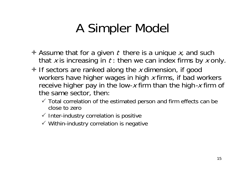## A Simpler Model

- $\triangle$  Assume that for a given t there is a unique x, and such that  $x$  is increasing in  $t$  : then we can index firms by  $x$  only.
- $\triangleq$  If sectors are ranked along the x dimension, if good workers have higher wages in high x firms, if bad workers receive higher pay in the low-x firm than the high-x firm of the same sector, then:
	- $\checkmark$  Total correlation of the estimated person and firm effects can be close to zero
	- $\checkmark$  Inter-industry correlation is positive
	- $\checkmark$  Within-industry correlation is negative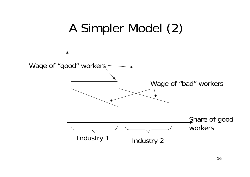## A Simpler Model (2)

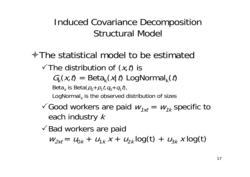Induced Covariance Decomposition Structural Model

- **No ÷ The statistical model to be estimated** 
	- $\checkmark$  The distribution of  $(x,t)$  is  $G_k(x,t) = \text{Beta}_k(x|t)$  LogNormal<sub>k</sub> $(t)$ 
		- Beta $_{\kappa}$  is Beta( $\rho_{\!0}$ + $\rho_{\!1}$ t, $q_{\!0}$ + $q_{\!1}$ t),

LogNormal $_{\rm \kappa}$  is the observed distribution of sizes

 $\checkmark$  Good workers are paid  $w_{1xt}=w_{1k}$  specific to each industry  $\it{k}$ 

-Bad workers are paid

 $W_{2xt} = U_{0k} + U_{1k}x + U_{2k} \log(t) + U_{3k}x \log(t)$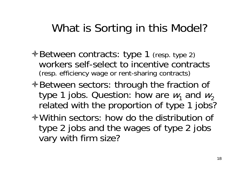#### What is Sorting in this Model?

- $\triangle$  **Between contracts: type 1** (resp. type 2) workers self-select to incentive contracts (resp. efficiency wage or rent-sharing contracts)
- **E** Between sectors: through the fraction of type 1 jobs. Question: how are  $w_{1}$  and  $w_{2}$ related with the proportion of type 1 jobs?
- Within sectors: how do the distribution of type 2 jobs and the wages of type 2 jobs vary with firm size?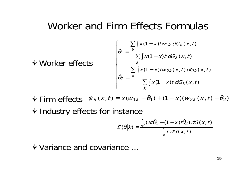#### Worker and Firm Effects Formulas

$$
\oint \text{Worker effects} \begin{cases}\n\hat{\theta}_1 = \frac{\sum_{k} \int x(1-x)tw_{1k} dG_k(x,t)}{\sum_{k} \int x(1-x)tdG_k(x,t)} \\
\hat{\theta}_2 = \frac{\sum_{k} \int x(1-x)tw_{2k}(x,t) dG_k(x,t)}{\sum_{k} \int x(1-x)tdG_k(x,t)}\n\end{cases}
$$

 $\triangle$  Firm effects  $\hat{\psi}_k(x,t) = x(w_{1k})$  $\triangle$  Industry effects for instance  $-\,\theta$ ˆ $\left( \theta _{1}\right) +$   $(1-x)(w_{2k}\left( x\,,t\right) )$  $\theta$ ˆ $\theta_2)$ 

$$
E(\hat{\theta}|k) = \frac{\int_{k} (xt\hat{\theta}_{1} + (1 - x)t\hat{\theta}_{2}) dG(x, t)}{\int_{k} t dG(x, t)}
$$

Variance and covariance …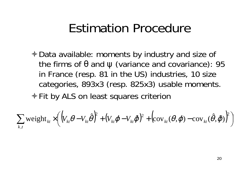#### Estimation Procedure

Data available: moments by industry and size of the firms of θ and ψ (variance and covariance): 95 in France (resp. 81 in the US) industries, 10 size categories, 893x3 (resp. 825x3) usable moments. **Exercit by ALS on least squares criterion** 

$$
\sum_{k,t} \text{weight}_{kt} \times \left( \left( V_{kt} \theta - V_{kt} \hat{\theta} \right)^2 + \left( V_{kt} \phi - V_{kt} \hat{\phi} \right)^2 + \left( \text{cov}_{kt}(\theta, \phi) - \text{cov}_{kt}(\hat{\theta}, \hat{\phi}) \right)^2 \right)
$$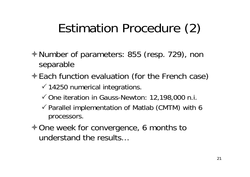## Estimation Procedure (2)

- Number of parameters: 855 (resp. 729), non separable
- **Each function evaluation (for the French case)** 
	- $\checkmark$  14250 numerical integrations.
	- One iteration in Gauss-Newton: 12,198,000 n.i.
	- $\checkmark$  Parallel implementation of Matlab (CMTM) with 6 processors.
- **Nome week for convergence, 6 months to** understand the results…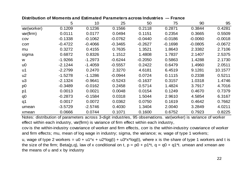|                | 5         | 10        | 25        | 50        | 75        | 90        | 95        |
|----------------|-----------|-----------|-----------|-----------|-----------|-----------|-----------|
| var(worker)    | 0.1209    | 0.1236    | 0.1566    | 0.2118    | 0.2871    | 0.3844    | 0.4281    |
| var(firm)      | 0.0111    | 0.0177    | 0.0494    | 0.1151    | 0.2354    | 0.3665    | 0.5509    |
| COV            | $-0.1338$ | $-0.1062$ | $-0.0762$ | $-0.0440$ | $-0.0186$ | $-0.0060$ | $-0.0018$ |
| corr           | $-0.4722$ | $-0.4066$ | $-0.3465$ | $-0.2627$ | $-0.1698$ | $-0.0805$ | $-0.0672$ |
| mu             | 0.3272    | 0.4155    | 0.7635    | 1.3521    | 1.8643    | 2.3382    | 2.7106    |
| sigma          | 0.6872    | 0.8326    | 1.1512    | 1.4808    | 1.7837    | 2.1407    | 2.5375    |
| W              | $-1.9266$ | $-1.2973$ | $-0.6244$ | $-0.2050$ | 0.5863    | 1.4288    | 2.1730    |
| U <sup>0</sup> | $-2.1244$ | $-1.4059$ | $-0.5557$ | 0.2422    | 0.6479    | 1.4960    | 2.0511    |
| u <sub>1</sub> | $-2.2799$ | 0.2470    | 2.3270    | 4.6181    | 6.4519    | 9.1281    | 10.1577   |
| u2             | $-1.5278$ | $-1.1286$ | $-0.0944$ | 0.0724    | 0.1115    | 0.2338    | 0.5211    |
| u3             | $-2.1324$ | $-0.9641$ | $-0.5243$ | $-0.1637$ | 0.3157    | 1.0318    | 1.4746    |
| p <sub>0</sub> | $-0.3489$ | $-0.0162$ | 0.2458    | 0.5714    | 1.4824    | 3.7917    | 4.7016    |
| p1             | 0.0013    | 0.0021    | 0.0048    | 0.0154    | 0.1249    | 0.4670    | 0.7379    |
| q <sub>0</sub> | $-0.2873$ | $-0.1584$ | 0.0318    | 1.5044    | 2.9610    | 4.5854    | 6.3167    |
| q1             | 0.0017    | 0.0072    | 0.0362    | 0.0750    | 0.1619    | 0.4642    | 0.7662    |
| umean          | $-3.5729$ | $-2.5746$ | 0.4030    | 1.3404    | 2.0040    | 3.2849    | 4.0211    |
| xmean          | 0.0666    | 0.0744    | 0.1071    | 0.1600    | 0.6752    | 0.7923    | 0.8225    |

Notes: distribution of parameters across 3-digit industries, 95 observations. var(worker) is variance of worker effect within each industry, var(firm) is variance of firm effect within each industry,

cov is the within-industry covariance of worker and firm effects, corr is the within-industry covariance of worker and firm effects; mu, mean of log wage in industry; sigma, the variance; w, wage of type 1 workers;

u, wage of type 2 workers =  $u0 + u1*x + u2*log(t) + u3*x*log(t)$ , where x is the share of type 1 workers and t is the size of the firm; Beta(p,q), law of x conditional on t,  $p = p0 + p1*t$ ,  $q = q0 + q1*t$ . umean and xmean are the means of u and x by industry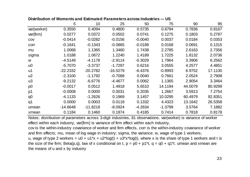| Distribution of Moments and Estimated Parameters across Industries --- US |  |  |
|---------------------------------------------------------------------------|--|--|
|---------------------------------------------------------------------------|--|--|

|                | 5          | 10         | 25         | 50        | 75        | 90      | 95      |
|----------------|------------|------------|------------|-----------|-----------|---------|---------|
| var(worker)    | 0.3550     | 0.4094     | 0.4800     | 0.5735    | 0.6794    | 0.7836  | 0.8167  |
| var(firm)      | 0.0277     | 0.0372     | 0.0502     | 0.0741    | 0.1275    | 0.1803  | 0.2787  |
| COV            | $-0.0414$  | $-0.0282$  | $-0.0156$  | $-0.0040$ | 0.0037    | 0.0184  | 0.0353  |
| corr           | $-0.1641$  | $-0.1343$  | $-0.0865$  | $-0.0189$ | 0.0168    | 0.0691  | 0.1315  |
| mu             | 1.0068     | 1.1365     | 1.3460     | 1.7438    | 2.2785    | 2.6163  | 2.7356  |
| sigma          | 1.0188     | 1.0672     | 1.2240     | 1.4189    | 1.7225    | 1.8132  | 2.0736  |
| W              | $-4.5149$  | $-4.1178$  | $-2.9114$  | $-0.3029$ | 1.7964    | 3.3906  | 6.2562  |
| U <sup>0</sup> | $-5.7070$  | $-3.3737$  | $-1.7297$  | 0.6216    | 3.0555    | 4.2577  | 4.4851  |
| u1             | $-22.2332$ | $-20.2782$ | $-16.5279$ | $-6.4376$ | $-0.8993$ | 6.9752  | 17.1130 |
| u <sub>2</sub> | $-2.3100$  | $-1.1792$  | $-0.7068$  | 0.0040    | 0.7661    | 2.0524  | 2.7908  |
| u3             | $-9.2132$  | $-6.6776$  | $-4.4677$  | 0.0062    | 1.1365    | 2.9054  | 3.3464  |
| p <sub>0</sub> | $-0.0017$  | 0.0512     | 1.4918     | 5.6510    | 14.1194   | 44.0079 | 80.9299 |
| p1             | $-0.0008$  | 0.0000     | 0.0031     | 0.2035    | 1.2667    | 3.5913  | 7.2754  |
| q0             | $-4.1133$  | $-1.2626$  | 0.1969     | 3.1457    | 10.0295   | 60.4979 | 92.8351 |
| q1             | 0.0000     | 0.0003     | 0.0118     | 0.1332    | 4.4323    | 13.1642 | 26.5358 |
| umean          | $-14.6648$ | $-11.8218$ | $-8.0924$  | $-4.2634$ | $-1.3799$ | 3.5764  | 7.1882  |
| xmean          | 0.1184     | 0.1460     | 0.1874     | 0.4185    | 0.7414    | 0.7818  | 0.8178  |

Notes: distribution of parameters across 3-digit industries, 81 observations. var(worker) is variance of worker effect within each industry, var(firm) is variance of firm effect within each industry,

cov is the within-industry covariance of worker and firm effects, corr is the within-industry covariance of worker and firm effects; mu, mean of log wage in industry; sigma, the variance; w, wage of type 1 workers; u, wage of type 2 workers =  $u0 + u1*x + u2*log(t) + u3*x*log(t)$ , where x is the share of type 1 workers and t is the size of the firm; Beta(p,q), law of x conditional on t,  $p = p0 + p1*t$ ,  $q = q0 + q1*t$ . umean and xmean are the means of u and x by industry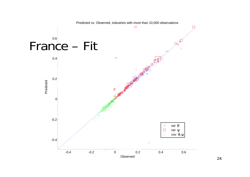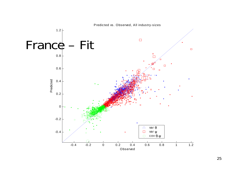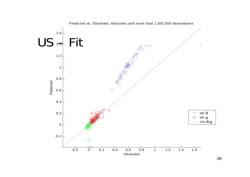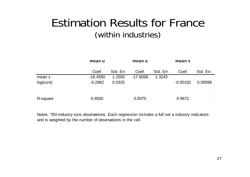#### Estimation Results for France(within industries)

|           | mean u     |           | mean u     |           | mean x     |           |  |
|-----------|------------|-----------|------------|-----------|------------|-----------|--|
|           | Coef.      | Std. Err. | Coef.      | Std. Err. | Coef.      | Std. Err. |  |
| mean x    | $-18.4550$ | 1.2550    | $-17.6058$ | 1.3243    |            |           |  |
| log(size) | $-0.2962$  | 0.0325    |            |           | $-0.00192$ | 0.00098   |  |
| R-square  | 0.8550     |           | 0.8375     |           | 0.9672     |           |  |

Notes: 783 industry-size observations. Each regression includes a full set a industry indicators and is weighted by the number of observations in the cell.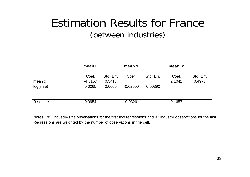#### Estimation Results for France(between industries)

|           | mean u    |           | mean x     |           | mean w |           |
|-----------|-----------|-----------|------------|-----------|--------|-----------|
|           | Coef.     | Std. Err. | Coef.      | Std. Err. | Coef.  | Std. Err. |
| mean x    | $-4.8167$ | 0.5413    |            |           | 2.1041 | 0.4976    |
| log(size) | 0.0065    | 0.0600    | $-0.02000$ | 0.00390   |        |           |
|           |           |           |            |           |        |           |
| R-square  | 0.0954    |           | 0.0326     |           | 0.1657 |           |

Notes: 783 industry-size observations for the first two regressions and 92 industry observations for the last. Regressions are weighted by the number of observations in the cell.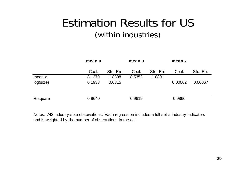#### Estimation Results for US (within industries)

|           | mean u |           | mean u |           | mean x  |           |  |
|-----------|--------|-----------|--------|-----------|---------|-----------|--|
|           | Coef.  | Std. Err. | Coef.  | Std. Err. | Coef.   | Std. Err. |  |
| mean x    | 8.1279 | 1.8398    | 8.5352 | 1.8891    |         |           |  |
| log(size) | 0.1933 | 0.0315    |        |           | 0.00062 | 0.00067   |  |
| R-square  | 0.9640 |           | 0.9619 |           | 0.9866  |           |  |

Notes: 742 industry-size observations. Each regression includes a full set a industry indicators and is weighted by the number of observations in the cell.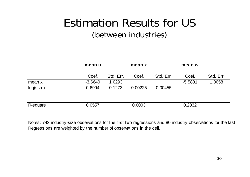#### Estimation Results for US (between industries)

|           | mean u    |           | mean x  |           | mean w    |           |
|-----------|-----------|-----------|---------|-----------|-----------|-----------|
|           | Coef.     | Std. Err. | Coef.   | Std. Err. | Coef.     | Std. Err. |
| mean x    | $-3.6640$ | 1.0293    |         |           | $-5.5831$ | 1.0058    |
| log(size) | 0.6994    | 0.1273    | 0.00225 | 0.00455   |           |           |
|           |           |           |         |           |           |           |
| R-square  | 0.0557    |           | 0.0003  |           | 0.2832    |           |

Notes: 742 industry-size observations for the first two regressions and 80 industry observations for the last. Regressions are weighted by the number of observations in the cell.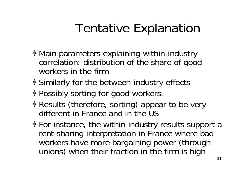## Tentative Explanation

- **↑ Main parameters explaining within-industry** correlation: distribution of the share of good workers in the firm
- $\triangle$  **Similarly for the between-industry effects**
- **♦ Possibly sorting for good workers.**
- $\triangle$  Results (therefore, sorting) appear to be very different in France and in the US
- $\triangle$  For instance, the within-industry results support a rent-sharing interpretation in France where bad workers have more bargaining power (through unions) when their fraction in the firm is high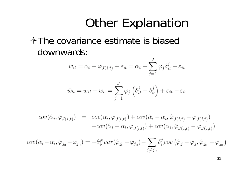## Other Explanation

#### **↑The covariance estimate is biased** downwards:

$$
w_{it} = \alpha_i + \varphi_{J(i,t)} + \varepsilon_{it} = \alpha_i + \sum_{j=1}^{J} \varphi_j \delta_{it}^j + \varepsilon_{it}
$$

$$
\bar{w}_{it} = w_{it} - w_{i} = \sum_{j=1}^{J} \varphi_j \left( \delta_{it}^{j} - \delta_{i}^{j} \right) + \varepsilon_{it} - \varepsilon_{i}.
$$

$$
cov(\hat{\alpha}_i, \hat{\varphi}_{J(i,t)}) = cov(\alpha_i, \varphi_{J(i,t)}) + cov(\hat{\alpha}_i - \alpha_i, \hat{\varphi}_{J(i,t)} - \varphi_{J(i,t)})
$$

$$
+ cov(\hat{\alpha}_i - \alpha_i, \varphi_{J(i,t)}) + cov(\alpha_i, \hat{\varphi}_{J(i,t)} - \varphi_{J(i,t)})
$$

$$
cov(\hat{\alpha}_i - \alpha_i, \hat{\varphi}_{j_0} - \varphi_{j_0}) = -\delta_i^{j_0} var(\hat{\varphi}_{j_0} - \varphi_{j_0}) - \sum_{j \neq j_0} \delta_i^j cov(\hat{\varphi}_j - \varphi_j, \hat{\varphi}_{j_0} - \varphi_{j_0})
$$